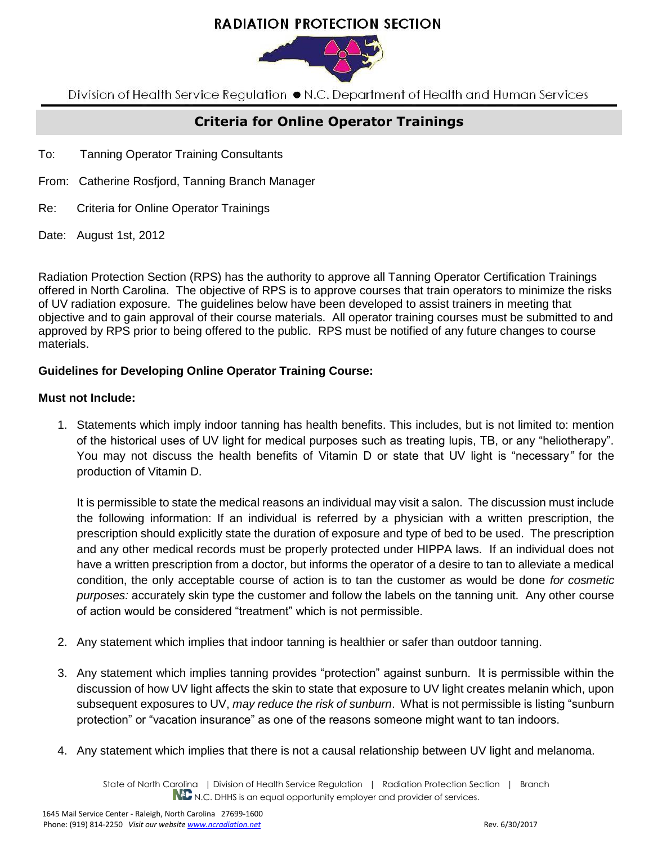# **RADIATION PROTECTION SECTION**



Division of Health Service Regulation ● N.C. Department of Health and Human Services

## **Criteria for Online Operator Trainings**

- To: Tanning Operator Training Consultants
- From: Catherine Rosfjord, Tanning Branch Manager
- Re: Criteria for Online Operator Trainings
- Date: August 1st, 2012

Radiation Protection Section (RPS) has the authority to approve all Tanning Operator Certification Trainings offered in North Carolina. The objective of RPS is to approve courses that train operators to minimize the risks of UV radiation exposure. The guidelines below have been developed to assist trainers in meeting that objective and to gain approval of their course materials. All operator training courses must be submitted to and approved by RPS prior to being offered to the public. RPS must be notified of any future changes to course materials.

### **Guidelines for Developing Online Operator Training Course:**

#### **Must not Include:**

1. Statements which imply indoor tanning has health benefits. This includes, but is not limited to: mention of the historical uses of UV light for medical purposes such as treating lupis, TB, or any "heliotherapy". You may not discuss the health benefits of Vitamin D or state that UV light is "necessary*"* for the production of Vitamin D.

It is permissible to state the medical reasons an individual may visit a salon. The discussion must include the following information: If an individual is referred by a physician with a written prescription, the prescription should explicitly state the duration of exposure and type of bed to be used. The prescription and any other medical records must be properly protected under HIPPA laws. If an individual does not have a written prescription from a doctor, but informs the operator of a desire to tan to alleviate a medical condition, the only acceptable course of action is to tan the customer as would be done *for cosmetic purposes:* accurately skin type the customer and follow the labels on the tanning unit. Any other course of action would be considered "treatment" which is not permissible.

- 2. Any statement which implies that indoor tanning is healthier or safer than outdoor tanning.
- 3. Any statement which implies tanning provides "protection" against sunburn. It is permissible within the discussion of how UV light affects the skin to state that exposure to UV light creates melanin which, upon subsequent exposures to UV, *may reduce the risk of sunburn*. What is not permissible is listing "sunburn protection" or "vacation insurance" as one of the reasons someone might want to tan indoors.
- 4. Any statement which implies that there is not a causal relationship between UV light and melanoma.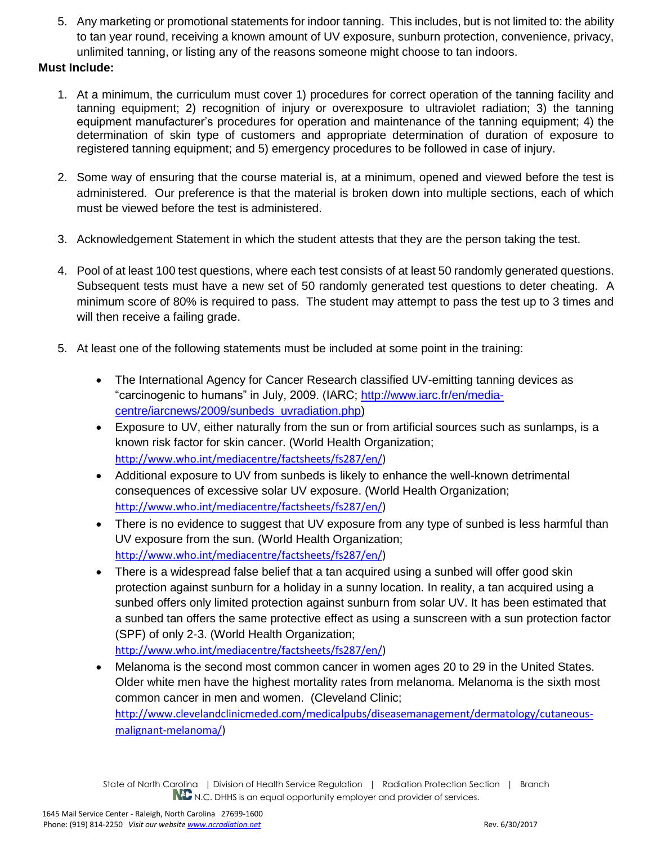5. Any marketing or promotional statements for indoor tanning. This includes, but is not limited to: the ability to tan year round, receiving a known amount of UV exposure, sunburn protection, convenience, privacy, unlimited tanning, or listing any of the reasons someone might choose to tan indoors.

### **Must Include:**

- 1. At a minimum, the curriculum must cover 1) procedures for correct operation of the tanning facility and tanning equipment; 2) recognition of injury or overexposure to ultraviolet radiation; 3) the tanning equipment manufacturer's procedures for operation and maintenance of the tanning equipment; 4) the determination of skin type of customers and appropriate determination of duration of exposure to registered tanning equipment; and 5) emergency procedures to be followed in case of injury.
- 2. Some way of ensuring that the course material is, at a minimum, opened and viewed before the test is administered. Our preference is that the material is broken down into multiple sections, each of which must be viewed before the test is administered.
- 3. Acknowledgement Statement in which the student attests that they are the person taking the test.
- 4. Pool of at least 100 test questions, where each test consists of at least 50 randomly generated questions. Subsequent tests must have a new set of 50 randomly generated test questions to deter cheating. A minimum score of 80% is required to pass. The student may attempt to pass the test up to 3 times and will then receive a failing grade.
- 5. At least one of the following statements must be included at some point in the training:
	- The International Agency for Cancer Research classified UV-emitting tanning devices as "carcinogenic to humans" in July, 2009. (IARC; [http://www.iarc.fr/en/media](http://www.iarc.fr/en/media-centre/iarcnews/2009/sunbeds_uvradiation.php)[centre/iarcnews/2009/sunbeds\\_uvradiation.php\)](http://www.iarc.fr/en/media-centre/iarcnews/2009/sunbeds_uvradiation.php)
	- Exposure to UV, either naturally from the sun or from artificial sources such as sunlamps, is a known risk factor for skin cancer. (World Health Organization; [http://www.who.int/mediacentre/factsheets/fs287/en/\)](http://www.who.int/mediacentre/factsheets/fs287/en/)
	- Additional exposure to UV from sunbeds is likely to enhance the well-known detrimental consequences of excessive solar UV exposure. (World Health Organization; [http://www.who.int/mediacentre/factsheets/fs287/en/\)](http://www.who.int/mediacentre/factsheets/fs287/en/)
	- There is no evidence to suggest that UV exposure from any type of sunbed is less harmful than UV exposure from the sun. (World Health Organization; [http://www.who.int/mediacentre/factsheets/fs287/en/\)](http://www.who.int/mediacentre/factsheets/fs287/en/)
	- There is a widespread false belief that a tan acquired using a sunbed will offer good skin protection against sunburn for a holiday in a sunny location. In reality, a tan acquired using a sunbed offers only limited protection against sunburn from solar UV. It has been estimated that a sunbed tan offers the same protective effect as using a sunscreen with a sun protection factor (SPF) of only 2-3. (World Health Organization; [http://www.who.int/mediacentre/factsheets/fs287/en/\)](http://www.who.int/mediacentre/factsheets/fs287/en/)
	- Melanoma is the second most common cancer in women ages 20 to 29 in the United States. Older white men have the highest mortality rates from melanoma. Melanoma is the sixth most common cancer in men and women. (Cleveland Clinic; [http://www.clevelandclinicmeded.com/medicalpubs/diseasemanagement/dermatology/cutaneous](http://www.clevelandclinicmeded.com/medicalpubs/diseasemanagement/dermatology/cutaneous-malignant-melanoma/)[malignant-melanoma/\)](http://www.clevelandclinicmeded.com/medicalpubs/diseasemanagement/dermatology/cutaneous-malignant-melanoma/)

State of North Carolina | Division of Health Service Regulation | Radiation Protection Section | Branch N.C. DHHS is an equal opportunity employer and provider of services.